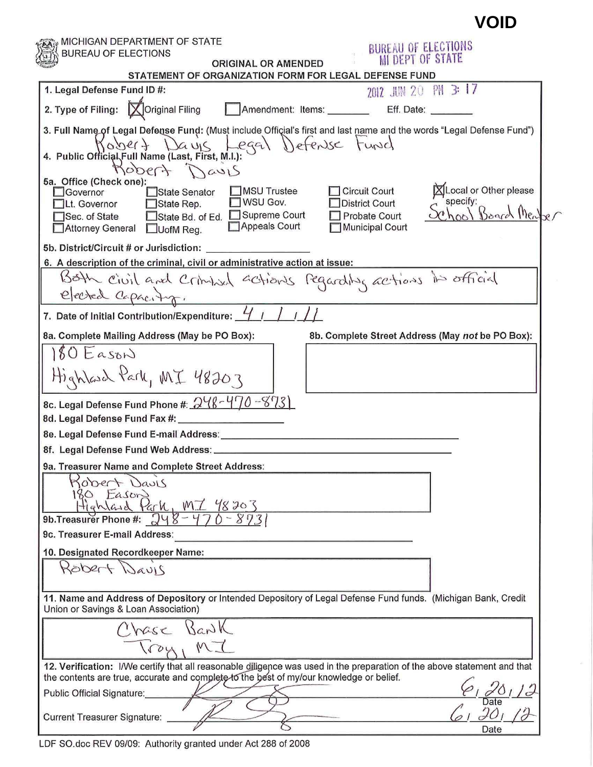|                                                                                                                                                                                                                                                                                               | <b>VOID</b>                         |
|-----------------------------------------------------------------------------------------------------------------------------------------------------------------------------------------------------------------------------------------------------------------------------------------------|-------------------------------------|
| MICHIGAN DEPARTMENT OF STATE<br>BUREAU OF ELECTIONS<br>BUREAU OF ELECTIONS<br><b>MI DEPT OF STATE</b>                                                                                                                                                                                         |                                     |
| <b>ORIGINAL OR AMENDED</b><br>STATEMENT OF ORGANIZATION FORM FOR LEGAL DEFENSE FUND                                                                                                                                                                                                           |                                     |
| PM 3: 17<br>1. Legal Defense Fund ID #:<br>2012 JUN 20                                                                                                                                                                                                                                        |                                     |
| 2. Type of Filing: X Original Filing<br>Amendment: Items: _______<br>Eff. Date:                                                                                                                                                                                                               |                                     |
| 3. Full Name of Legal Defense Fund: (Must include Official's first and last name and the words "Legal Defense Fund")<br>4. Public Official Full Name (Last, First, M.I.):<br>4. Public Official Full Name (Last, First, M.I.):<br>Robert Davis<br>5a. Office (Check one):                     |                                     |
| MSU Trustee<br><b>Circuit Court</b><br>Governor<br>State Senator<br>specify:<br>WSU Gov.<br><b>District Court</b><br>Lt. Governor<br>State Rep.<br>State Bd. of Ed. Supreme Court<br><b>Probate Court</b><br>Sec. of State<br>Appeals Court<br>Municipal Court<br>Attorney General □UofM Reg. | XLocal or Other please<br>Board Men |
| 5b. District/Circuit # or Jurisdiction:                                                                                                                                                                                                                                                       |                                     |
| 6. A description of the criminal, civil or administrative action at issue:<br>Both civil and criminal actions regarding actions in official<br>elected Capacity.                                                                                                                              |                                     |
| 7. Date of Initial Contribution/Expenditure: 4 /                                                                                                                                                                                                                                              |                                     |
| 8a. Complete Mailing Address (May be PO Box):<br>8b. Complete Street Address (May not be PO Box):                                                                                                                                                                                             |                                     |
| $80$ Eason<br>Highlash Park, MI 48203                                                                                                                                                                                                                                                         |                                     |
| 8c. Legal Defense Fund Phone #: $248 - 470 - 873$                                                                                                                                                                                                                                             |                                     |
| 8d. Legal Defense Fund Fax #:                                                                                                                                                                                                                                                                 |                                     |
| 8e. Legal Defense Fund E-mail Address:                                                                                                                                                                                                                                                        |                                     |
| 8f. Legal Defense Fund Web Address:                                                                                                                                                                                                                                                           |                                     |
| 9a. Treasurer Name and Complete Street Address:<br>Robert Davis<br>80 Eason<br>Highland Park, M.Z 48203<br>9b. Treasurer Phone #: $248 - 47$                                                                                                                                                  |                                     |
| 9c. Treasurer E-mail Address:                                                                                                                                                                                                                                                                 |                                     |
| 10. Designated Recordkeeper Name:<br>Robert Davis                                                                                                                                                                                                                                             |                                     |
| 11. Name and Address of Depository or Intended Depository of Legal Defense Fund funds. (Michigan Bank, Credit<br>Union or Savings & Loan Association)                                                                                                                                         |                                     |
| Chase Bank                                                                                                                                                                                                                                                                                    |                                     |
| 12. Verification: I/We certify that all reasonable diligence was used in the preparation of the above statement and that<br>the contents are true, accurate and complete to the best of my/our knowledge or belief.                                                                           |                                     |
| Public Official Signature:                                                                                                                                                                                                                                                                    |                                     |
| <b>Current Treasurer Signature:</b>                                                                                                                                                                                                                                                           | Date                                |

 $\tilde{\omega}$ 

LDF SO.doc REV 09/09: Authority granted under Act 288 of 2008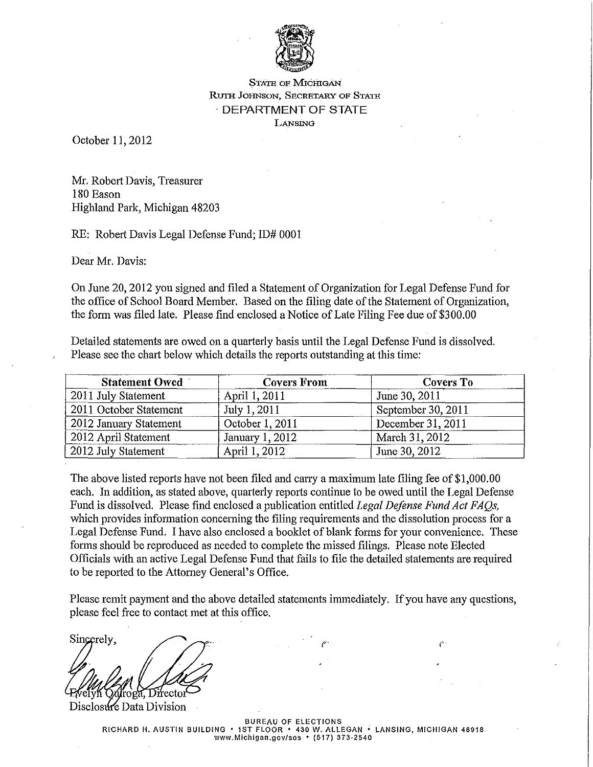

## STATE OF MICHIGAN RUTH JoHNSON, SECRETARY oF STATE · DEPARTMENT OF STATE LANSING

October 11,2012

Mr. Robett Davis, Treasurer 180 Eason Highland Park, Michigan 48203

RE: Robett Davis Legal Defense Fund; ID# 0001

Dear Mr. Davis:

On June 20,2012 you signed and filed a Statement of Organization for Legal Defense Fund for the office of School Board Member. Based on the filing date of the Statement of Organization, the form was filed late. Please find enclosed a Notice of Late Filing Fee due of\$300.00

Detailed statements are owed on a quarterly basis until the Legal Defense Fund is dissolved. Please see the chart below which details the reports outstanding at this time:

| <b>Statement Owed</b>  | <b>Covers From</b> | Covers To          |  |
|------------------------|--------------------|--------------------|--|
| 2011 July Statement    | April 1, 2011      | June 30, 2011      |  |
| 2011 October Statement | July 1, 2011       | September 30, 2011 |  |
| 2012 January Statement | October 1, 2011    | December 31, 2011  |  |
| 2012 April Statement   | January 1, 2012    | March 31, 2012     |  |
| 2012 July Statement    | April 1, 2012      | June 30, 2012      |  |

The above listed reports have not been filed and carry a maximum late filing fee of \$1,000.00 each. In addition, as stated above, quarterly reports continue to be owed until the Legal Defense Fund is dissolved. Please find enclosed a publication entitled *Legal Defense Fund Act FAQs,*  which provides information concerning the filing requirements and the dissolution process for a Legal Defense Fund. I have also enclosed a booklet of blank forms for your convenience. These forms should be reproduced as needed to complete the missed filings. Please note Elected Officials with an active Legal Defense Fund that fails to file the detailed statements are required to be reported to the Attorney General's Office.

Please remit payment and the above detailed statements immediately. If you have any questions, please feel free to contact met at this office.

Sincerely, roga, Directo

Disclosure Data Division

BUREAU OF ELECTIONS RICHARD H. AUSTIN BUILDING • 1ST FLOOR • 430 W. ALLEGAN • LANSING, MICHIGAN 48918 **www.Michigan.gov/sos • (517) 373-2540**